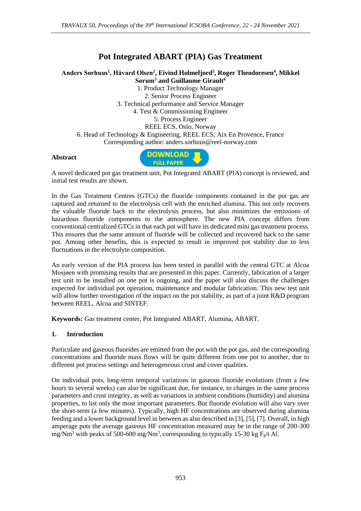## **Pot Integrated ABART (PIA) Gas Treatment**

**Anders Sørhuus<sup>1</sup> , Håvard Olsen<sup>2</sup> , Eivind Holmefjord<sup>3</sup> , Roger Theodoresen<sup>4</sup> , Mikkel Sørum<sup>5</sup> and Guillaume Girault<sup>6</sup>**

1. Product Technology Manager 2. Senior Process Engineer 3. Technical performance and Service Manager 4. Test & Commissioning Engineer 5. Process Engineer REEL ECS, Oslo, Norway 6. Head of Technology & Engineering, REEL ECS, Aix En Provence, France Corresponding author: anders.sorhuus@reel-norway.com

## **Abstract**



A novel dedicated pot gas treatment unit, Pot Integrated ABART (PIA) concept is reviewed, and initial test results are shown.

In the Gas Treatment Centres (GTCs) the fluoride components contained in the pot gas are captured and returned to the electrolysis cell with the enriched alumina. This not only recovers the valuable fluoride back to the electrolysis process, but also minimizes the emissions of hazardous fluoride components to the atmosphere. The new PIA concept differs from conventional centralized GTCs in that each pot will have its dedicated mini gas treatment process. This ensures that the same amount of fluoride will be collected and recovered back to the same pot. Among other benefits, this is expected to result in improved pot stability due to less fluctuations in the electrolyte composition.

An early version of the PIA process has been tested in parallel with the central GTC at Alcoa Mosjøen with promising results that are presented in this paper. Currently, fabrication of a larger test unit to be installed on one pot is ongoing, and the paper will also discuss the challenges expected for individual pot operation, maintenance and modular fabrication. This new test unit will allow further investigation of the impact on the pot stability, as part of a joint R&D program between REEL, Alcoa and SINTEF.

**Keywords:** Gas treatment center, Pot Integrated ABART, Alumina, ABART.

## **1. Introduction**

Particulate and gaseous fluorides are emitted from the pot with the pot gas, and the corresponding concentrations and fluoride mass flows will be quite different from one pot to another, due to different pot process settings and heterogeneous crust and cover qualities.

On individual pots, long-term temporal variations in gaseous fluoride evolutions (from a few hours to several weeks) can also be significant due, for instance, to changes in the same process parameters and crust integrity, as well as variations in ambient conditions (humidity) and alumina properties, to list only the most important parameters. But fluoride evolution will also vary over the short-term (a few minutes). Typically, high HF concentrations are observed during alumina feeding and a lower background level in between as also described in [3], [5], [7]. Overall, in high amperage pots the average gaseous HF concentration measured may be in the range of 200-300 mg/Nm<sup>3</sup> with peaks of 500-600 mg/Nm<sup>3</sup>, corresponding to typically 15-30 kg  $F_g/t$  Al.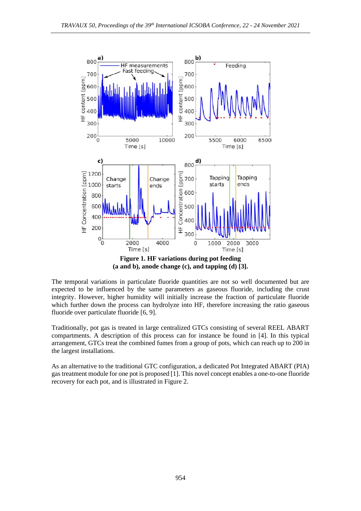

**(a and b), anode change (c), and tapping (d) [3].** 

The temporal variations in particulate fluoride quantities are not so well documented but are expected to be influenced by the same parameters as gaseous fluoride, including the crust integrity. However, higher humidity will initially increase the fraction of particulate fluoride which further down the process can hydrolyze into HF, therefore increasing the ratio gaseous fluoride over particulate fluoride [6, 9].

Traditionally, pot gas is treated in large centralized GTCs consisting of several REEL ABART compartments. A description of this process can for instance be found in [4]. In this typical arrangement, GTCs treat the combined fumes from a group of pots, which can reach up to 200 in the largest installations.

As an alternative to the traditional GTC configuration, a dedicated Pot Integrated ABART (PIA) gas treatment module for one pot is proposed [1]. This novel concept enables a one-to-one fluoride recovery for each pot, and is illustrated in Figure 2.